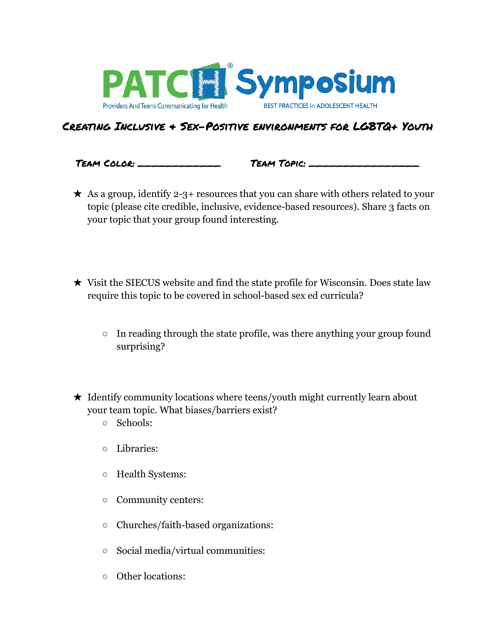

## Creating Inclusive & Sex-Positive environments for LGBTQ+ Youth

Team Color: \_\_\_\_\_\_\_\_\_\_\_\_ Team Topic: \_\_\_\_\_\_\_\_\_\_\_\_\_\_\_\_

- $\star$  As a group, identify 2-3+ resources that you can share with others related to your topic (please cite credible, inclusive, evidence-based resources). Share 3 facts on your topic that your group found interesting.
- ★ Visit the SIECUS website and find the state profile for Wisconsin. Does state law require this topic to be covered in school-based sex ed curricula?
	- $\circ$  In reading through the state profile, was there anything your group found surprising?
- $\star$  Identify community locations where teens/youth might currently learn about your team topic. What biases/barriers exist?
	- Schools:
	- Libraries:
	- Health Systems:
	- Community centers:
	- Churches/faith-based organizations:
	- Social media/virtual communities:
	- Other locations: